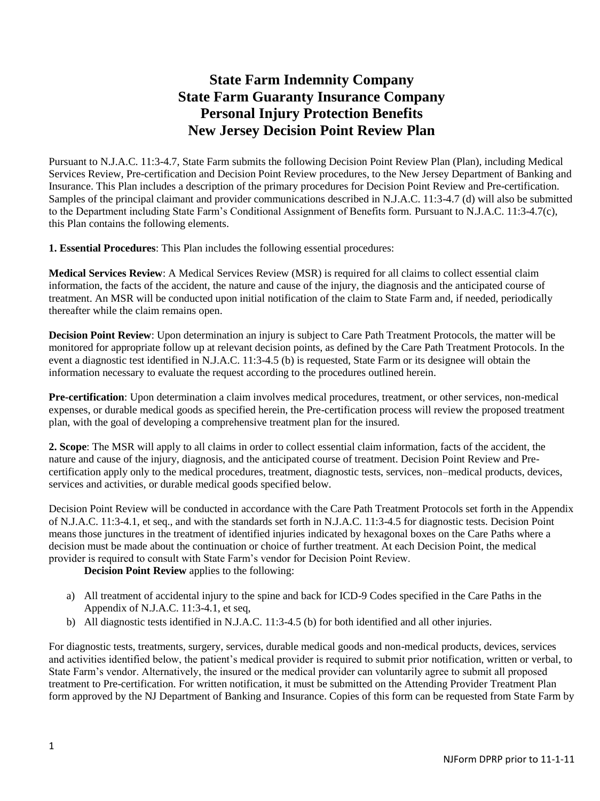# **State Farm Indemnity Company State Farm Guaranty Insurance Company Personal Injury Protection Benefits New Jersey Decision Point Review Plan**

Pursuant to N.J.A.C. 11:3-4.7, State Farm submits the following Decision Point Review Plan (Plan), including Medical Services Review, Pre-certification and Decision Point Review procedures, to the New Jersey Department of Banking and Insurance. This Plan includes a description of the primary procedures for Decision Point Review and Pre-certification. Samples of the principal claimant and provider communications described in N.J.A.C. 11:3-4.7 (d) will also be submitted to the Department including State Farm's Conditional Assignment of Benefits form. Pursuant to N.J.A.C. 11:3-4.7(c), this Plan contains the following elements.

**1. Essential Procedures**: This Plan includes the following essential procedures:

**Medical Services Review**: A Medical Services Review (MSR) is required for all claims to collect essential claim information, the facts of the accident, the nature and cause of the injury, the diagnosis and the anticipated course of treatment. An MSR will be conducted upon initial notification of the claim to State Farm and, if needed, periodically thereafter while the claim remains open.

**Decision Point Review**: Upon determination an injury is subject to Care Path Treatment Protocols, the matter will be monitored for appropriate follow up at relevant decision points, as defined by the Care Path Treatment Protocols. In the event a diagnostic test identified in N.J.A.C. 11:3-4.5 (b) is requested, State Farm or its designee will obtain the information necessary to evaluate the request according to the procedures outlined herein.

**Pre-certification**: Upon determination a claim involves medical procedures, treatment, or other services, non-medical expenses, or durable medical goods as specified herein, the Pre-certification process will review the proposed treatment plan, with the goal of developing a comprehensive treatment plan for the insured.

**2. Scope**: The MSR will apply to all claims in order to collect essential claim information, facts of the accident, the nature and cause of the injury, diagnosis, and the anticipated course of treatment. Decision Point Review and Precertification apply only to the medical procedures, treatment, diagnostic tests, services, non–medical products, devices, services and activities, or durable medical goods specified below.

Decision Point Review will be conducted in accordance with the Care Path Treatment Protocols set forth in the Appendix of N.J.A.C. 11:3-4.1, et seq., and with the standards set forth in N.J.A.C. 11:3-4.5 for diagnostic tests. Decision Point means those junctures in the treatment of identified injuries indicated by hexagonal boxes on the Care Paths where a decision must be made about the continuation or choice of further treatment. At each Decision Point, the medical provider is required to consult with State Farm's vendor for Decision Point Review.

**Decision Point Review** applies to the following:

- a) All treatment of accidental injury to the spine and back for ICD-9 Codes specified in the Care Paths in the Appendix of N.J.A.C. 11:3-4.1, et seq,
- b) All diagnostic tests identified in N.J.A.C. 11:3-4.5 (b) for both identified and all other injuries.

For diagnostic tests, treatments, surgery, services, durable medical goods and non-medical products, devices, services and activities identified below, the patient's medical provider is required to submit prior notification, written or verbal, to State Farm's vendor. Alternatively, the insured or the medical provider can voluntarily agree to submit all proposed treatment to Pre-certification. For written notification, it must be submitted on the Attending Provider Treatment Plan form approved by the NJ Department of Banking and Insurance. Copies of this form can be requested from State Farm by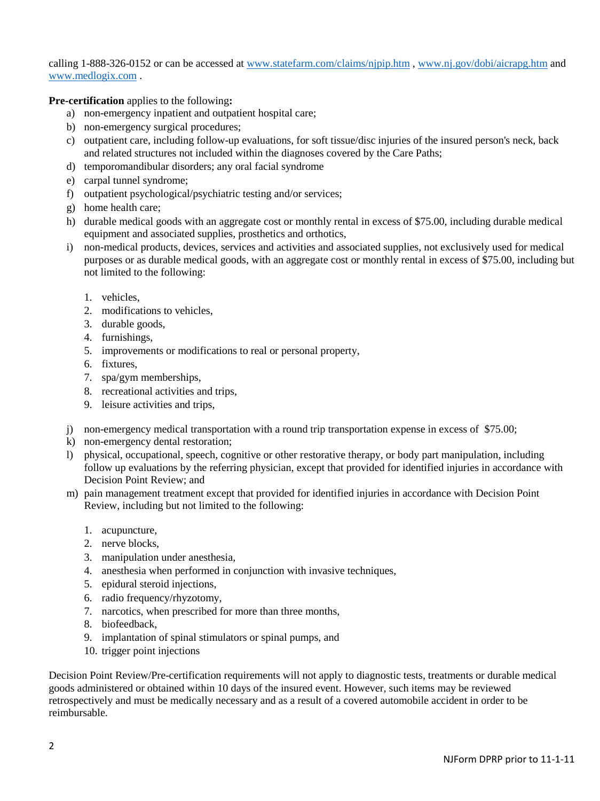calling 1-888-326-0152 or can be accessed at [www.statefarm.com/claims/njpip.htm](http://www.statefarm.com/claims/njpip.htm) , [www.nj.gov/dobi/aicrapg.htm](http://www.nj.gov/dobi/aicrapg.htm) and [www.medlogix.com](http://www.medlogix.com/) .

**Pre-certification** applies to the following**:** 

- a) non-emergency inpatient and outpatient hospital care;
- b) non-emergency surgical procedures;
- c) outpatient care, including follow-up evaluations, for soft tissue/disc injuries of the insured person's neck, back and related structures not included within the diagnoses covered by the Care Paths;
- d) temporomandibular disorders; any oral facial syndrome
- e) carpal tunnel syndrome;
- f) outpatient psychological/psychiatric testing and/or services;
- g) home health care;
- h) durable medical goods with an aggregate cost or monthly rental in excess of \$75.00, including durable medical equipment and associated supplies, prosthetics and orthotics,
- i) non-medical products, devices, services and activities and associated supplies, not exclusively used for medical purposes or as durable medical goods, with an aggregate cost or monthly rental in excess of \$75.00, including but not limited to the following:
	- 1. vehicles,
	- 2. modifications to vehicles,
	- 3. durable goods,
	- 4. furnishings,
	- 5. improvements or modifications to real or personal property,
	- 6. fixtures,
	- 7. spa/gym memberships,
	- 8. recreational activities and trips,
	- 9. leisure activities and trips,
- j) non-emergency medical transportation with a round trip transportation expense in excess of \$75.00;
- k) non-emergency dental restoration;
- l) physical, occupational, speech, cognitive or other restorative therapy, or body part manipulation, including follow up evaluations by the referring physician, except that provided for identified injuries in accordance with Decision Point Review; and
- m) pain management treatment except that provided for identified injuries in accordance with Decision Point Review, including but not limited to the following:
	- 1. acupuncture,
	- 2. nerve blocks,
	- 3. manipulation under anesthesia,
	- 4. anesthesia when performed in conjunction with invasive techniques,
	- 5. epidural steroid injections,
	- 6. radio frequency/rhyzotomy,
	- 7. narcotics, when prescribed for more than three months,
	- 8. biofeedback,
	- 9. implantation of spinal stimulators or spinal pumps, and
	- 10. trigger point injections

Decision Point Review/Pre-certification requirements will not apply to diagnostic tests, treatments or durable medical goods administered or obtained within 10 days of the insured event. However, such items may be reviewed retrospectively and must be medically necessary and as a result of a covered automobile accident in order to be reimbursable.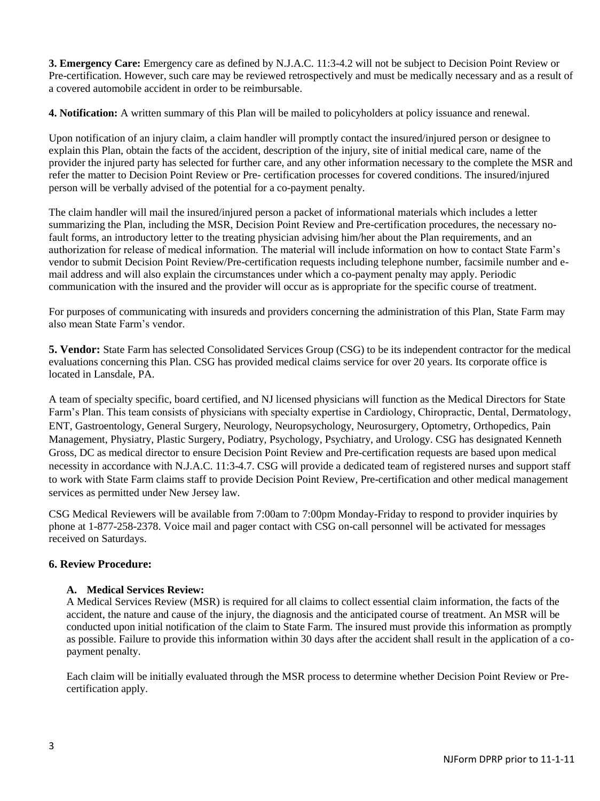**3. Emergency Care:** Emergency care as defined by N.J.A.C. 11:3-4.2 will not be subject to Decision Point Review or Pre-certification. However, such care may be reviewed retrospectively and must be medically necessary and as a result of a covered automobile accident in order to be reimbursable.

**4. Notification:** A written summary of this Plan will be mailed to policyholders at policy issuance and renewal.

Upon notification of an injury claim, a claim handler will promptly contact the insured/injured person or designee to explain this Plan, obtain the facts of the accident, description of the injury, site of initial medical care, name of the provider the injured party has selected for further care, and any other information necessary to the complete the MSR and refer the matter to Decision Point Review or Pre- certification processes for covered conditions. The insured/injured person will be verbally advised of the potential for a co-payment penalty.

The claim handler will mail the insured/injured person a packet of informational materials which includes a letter summarizing the Plan, including the MSR, Decision Point Review and Pre-certification procedures, the necessary nofault forms, an introductory letter to the treating physician advising him/her about the Plan requirements, and an authorization for release of medical information. The material will include information on how to contact State Farm's vendor to submit Decision Point Review/Pre-certification requests including telephone number, facsimile number and email address and will also explain the circumstances under which a co-payment penalty may apply. Periodic communication with the insured and the provider will occur as is appropriate for the specific course of treatment.

For purposes of communicating with insureds and providers concerning the administration of this Plan, State Farm may also mean State Farm's vendor.

**5. Vendor:** State Farm has selected Consolidated Services Group (CSG) to be its independent contractor for the medical evaluations concerning this Plan. CSG has provided medical claims service for over 20 years. Its corporate office is located in Lansdale, PA.

A team of specialty specific, board certified, and NJ licensed physicians will function as the Medical Directors for State Farm's Plan. This team consists of physicians with specialty expertise in Cardiology, Chiropractic, Dental, Dermatology, ENT, Gastroentology, General Surgery, Neurology, Neuropsychology, Neurosurgery, Optometry, Orthopedics, Pain Management, Physiatry, Plastic Surgery, Podiatry, Psychology, Psychiatry, and Urology. CSG has designated Kenneth Gross, DC as medical director to ensure Decision Point Review and Pre-certification requests are based upon medical necessity in accordance with N.J.A.C. 11:3-4.7. CSG will provide a dedicated team of registered nurses and support staff to work with State Farm claims staff to provide Decision Point Review, Pre-certification and other medical management services as permitted under New Jersey law.

CSG Medical Reviewers will be available from 7:00am to 7:00pm Monday-Friday to respond to provider inquiries by phone at 1-877-258-2378. Voice mail and pager contact with CSG on-call personnel will be activated for messages received on Saturdays.

## **6. Review Procedure:**

## **A. Medical Services Review:**

A Medical Services Review (MSR) is required for all claims to collect essential claim information, the facts of the accident, the nature and cause of the injury, the diagnosis and the anticipated course of treatment. An MSR will be conducted upon initial notification of the claim to State Farm. The insured must provide this information as promptly as possible. Failure to provide this information within 30 days after the accident shall result in the application of a copayment penalty.

Each claim will be initially evaluated through the MSR process to determine whether Decision Point Review or Precertification apply.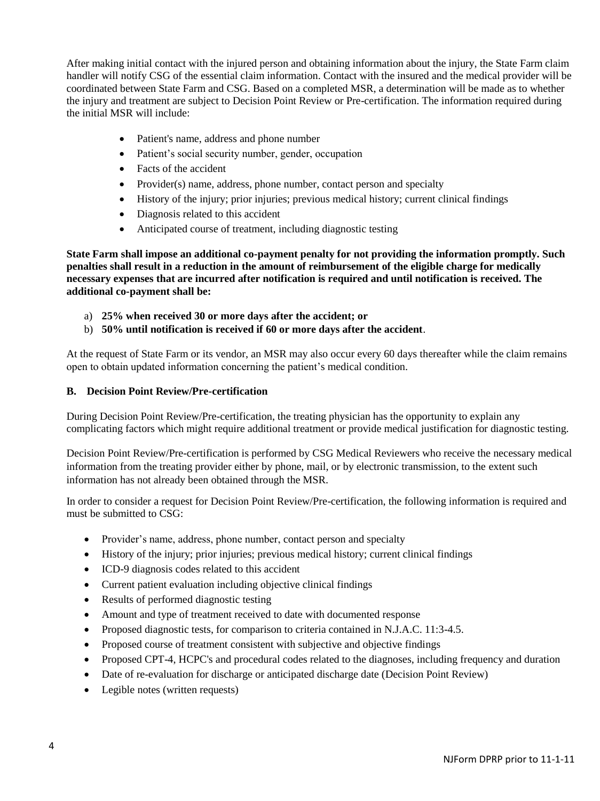After making initial contact with the injured person and obtaining information about the injury, the State Farm claim handler will notify CSG of the essential claim information. Contact with the insured and the medical provider will be coordinated between State Farm and CSG. Based on a completed MSR, a determination will be made as to whether the injury and treatment are subject to Decision Point Review or Pre-certification. The information required during the initial MSR will include:

- Patient's name, address and phone number
- Patient's social security number, gender, occupation
- Facts of the accident
- Provider(s) name, address, phone number, contact person and specialty
- History of the injury; prior injuries; previous medical history; current clinical findings
- Diagnosis related to this accident
- Anticipated course of treatment, including diagnostic testing

**State Farm shall impose an additional co-payment penalty for not providing the information promptly. Such penalties shall result in a reduction in the amount of reimbursement of the eligible charge for medically necessary expenses that are incurred after notification is required and until notification is received. The additional co-payment shall be:** 

- a) **25% when received 30 or more days after the accident; or**
- b) **50% until notification is received if 60 or more days after the accident**.

At the request of State Farm or its vendor, an MSR may also occur every 60 days thereafter while the claim remains open to obtain updated information concerning the patient's medical condition.

#### **B. Decision Point Review/Pre-certification**

During Decision Point Review/Pre-certification, the treating physician has the opportunity to explain any complicating factors which might require additional treatment or provide medical justification for diagnostic testing.

Decision Point Review/Pre-certification is performed by CSG Medical Reviewers who receive the necessary medical information from the treating provider either by phone, mail, or by electronic transmission, to the extent such information has not already been obtained through the MSR.

In order to consider a request for Decision Point Review/Pre-certification, the following information is required and must be submitted to CSG:

- Provider's name, address, phone number, contact person and specialty
- History of the injury; prior injuries; previous medical history; current clinical findings
- ICD-9 diagnosis codes related to this accident
- Current patient evaluation including objective clinical findings
- Results of performed diagnostic testing
- Amount and type of treatment received to date with documented response
- Proposed diagnostic tests, for comparison to criteria contained in N.J.A.C. 11:3-4.5.
- Proposed course of treatment consistent with subjective and objective findings
- Proposed CPT-4, HCPC's and procedural codes related to the diagnoses, including frequency and duration
- Date of re-evaluation for discharge or anticipated discharge date (Decision Point Review)
- Legible notes (written requests)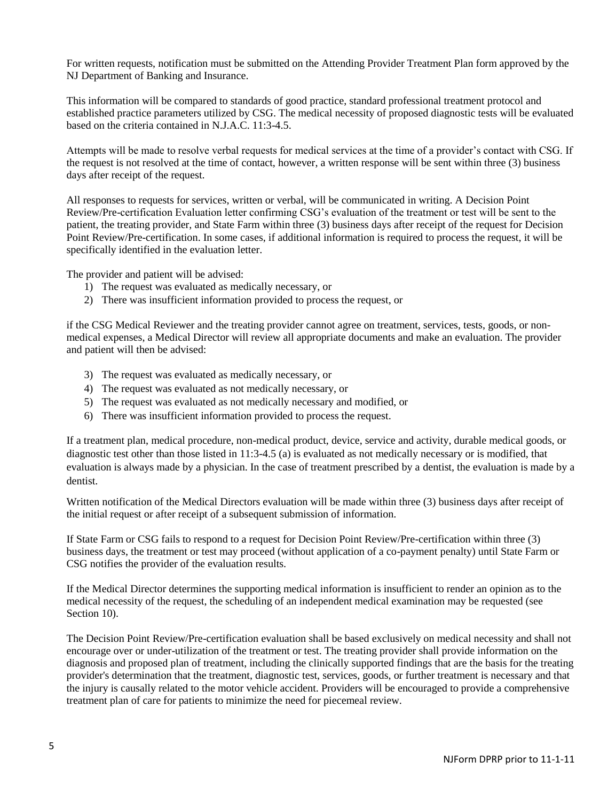For written requests, notification must be submitted on the Attending Provider Treatment Plan form approved by the NJ Department of Banking and Insurance.

This information will be compared to standards of good practice, standard professional treatment protocol and established practice parameters utilized by CSG. The medical necessity of proposed diagnostic tests will be evaluated based on the criteria contained in N.J.A.C. 11:3-4.5.

Attempts will be made to resolve verbal requests for medical services at the time of a provider's contact with CSG. If the request is not resolved at the time of contact, however, a written response will be sent within three (3) business days after receipt of the request.

All responses to requests for services, written or verbal, will be communicated in writing. A Decision Point Review/Pre-certification Evaluation letter confirming CSG's evaluation of the treatment or test will be sent to the patient, the treating provider, and State Farm within three (3) business days after receipt of the request for Decision Point Review/Pre-certification. In some cases, if additional information is required to process the request, it will be specifically identified in the evaluation letter.

The provider and patient will be advised:

- 1) The request was evaluated as medically necessary, or
- 2) There was insufficient information provided to process the request, or

if the CSG Medical Reviewer and the treating provider cannot agree on treatment, services, tests, goods, or nonmedical expenses, a Medical Director will review all appropriate documents and make an evaluation. The provider and patient will then be advised:

- 3) The request was evaluated as medically necessary, or
- 4) The request was evaluated as not medically necessary, or
- 5) The request was evaluated as not medically necessary and modified, or
- 6) There was insufficient information provided to process the request.

If a treatment plan, medical procedure, non-medical product, device, service and activity, durable medical goods, or diagnostic test other than those listed in 11:3-4.5 (a) is evaluated as not medically necessary or is modified, that evaluation is always made by a physician. In the case of treatment prescribed by a dentist, the evaluation is made by a dentist.

Written notification of the Medical Directors evaluation will be made within three (3) business days after receipt of the initial request or after receipt of a subsequent submission of information.

If State Farm or CSG fails to respond to a request for Decision Point Review/Pre-certification within three (3) business days, the treatment or test may proceed (without application of a co-payment penalty) until State Farm or CSG notifies the provider of the evaluation results.

If the Medical Director determines the supporting medical information is insufficient to render an opinion as to the medical necessity of the request, the scheduling of an independent medical examination may be requested (see Section 10).

The Decision Point Review/Pre-certification evaluation shall be based exclusively on medical necessity and shall not encourage over or under-utilization of the treatment or test. The treating provider shall provide information on the diagnosis and proposed plan of treatment, including the clinically supported findings that are the basis for the treating provider's determination that the treatment, diagnostic test, services, goods, or further treatment is necessary and that the injury is causally related to the motor vehicle accident. Providers will be encouraged to provide a comprehensive treatment plan of care for patients to minimize the need for piecemeal review.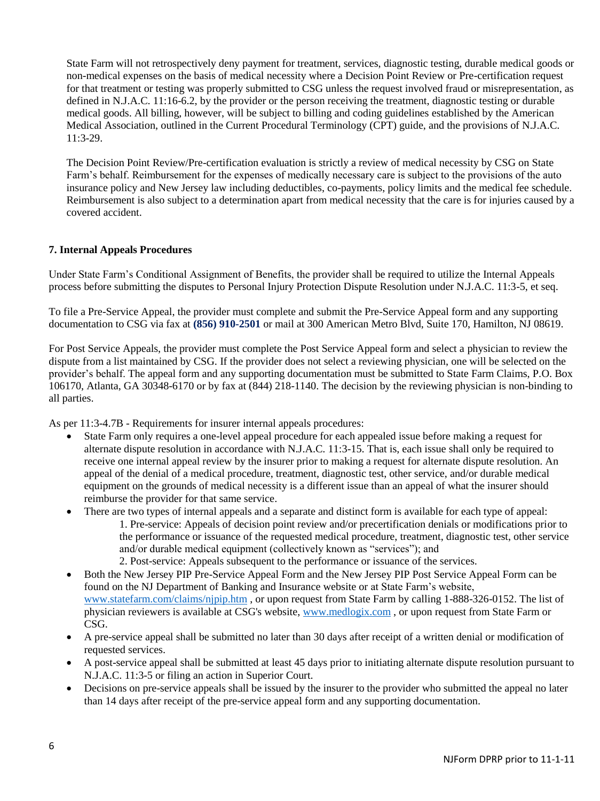State Farm will not retrospectively deny payment for treatment, services, diagnostic testing, durable medical goods or non-medical expenses on the basis of medical necessity where a Decision Point Review or Pre-certification request for that treatment or testing was properly submitted to CSG unless the request involved fraud or misrepresentation, as defined in N.J.A.C. 11:16-6.2, by the provider or the person receiving the treatment, diagnostic testing or durable medical goods. All billing, however, will be subject to billing and coding guidelines established by the American Medical Association, outlined in the Current Procedural Terminology (CPT) guide, and the provisions of N.J.A.C. 11:3-29.

The Decision Point Review/Pre-certification evaluation is strictly a review of medical necessity by CSG on State Farm's behalf. Reimbursement for the expenses of medically necessary care is subject to the provisions of the auto insurance policy and New Jersey law including deductibles, co-payments, policy limits and the medical fee schedule. Reimbursement is also subject to a determination apart from medical necessity that the care is for injuries caused by a covered accident.

## **7. Internal Appeals Procedures**

Under State Farm's Conditional Assignment of Benefits, the provider shall be required to utilize the Internal Appeals process before submitting the disputes to Personal Injury Protection Dispute Resolution under N.J.A.C. 11:3-5, et seq.

To file a Pre-Service Appeal, the provider must complete and submit the Pre-Service Appeal form and any supporting documentation to CSG via fax at **(856) 910-2501** or mail at 300 American Metro Blvd, Suite 170, Hamilton, NJ 08619.

For Post Service Appeals, the provider must complete the Post Service Appeal form and select a physician to review the dispute from a list maintained by CSG. If the provider does not select a reviewing physician, one will be selected on the provider's behalf. The appeal form and any supporting documentation must be submitted to State Farm Claims, P.O. Box 106170, Atlanta, GA 30348-6170 or by fax at (844) 218-1140. The decision by the reviewing physician is non-binding to all parties.

As per 11:3-4.7B - Requirements for insurer internal appeals procedures:

- State Farm only requires a one-level appeal procedure for each appealed issue before making a request for alternate dispute resolution in accordance with N.J.A.C. 11:3-15. That is, each issue shall only be required to receive one internal appeal review by the insurer prior to making a request for alternate dispute resolution. An appeal of the denial of a medical procedure, treatment, diagnostic test, other service, and/or durable medical equipment on the grounds of medical necessity is a different issue than an appeal of what the insurer should reimburse the provider for that same service.
- There are two types of internal appeals and a separate and distinct form is available for each type of appeal: 1. Pre-service: Appeals of decision point review and/or precertification denials or modifications prior to the performance or issuance of the requested medical procedure, treatment, diagnostic test, other service and/or durable medical equipment (collectively known as "services"); and 2. Post-service: Appeals subsequent to the performance or issuance of the services.
- Both the New Jersey PIP Pre-Service Appeal Form and the New Jersey PIP Post Service Appeal Form can be found on the NJ Department of Banking and Insurance website or at State Farm's website, [www.statefarm.com/claims/njpip.htm](http://www.statefarm.com/claims/njpip.htm) , or upon request from State Farm by calling 1-888-326-0152. The list of physician reviewers is available at CSG's website, [www.medlogix.com](http://www.medlogix.com/) , or upon request from State Farm or CSG.
- A pre-service appeal shall be submitted no later than 30 days after receipt of a written denial or modification of requested services.
- A post-service appeal shall be submitted at least 45 days prior to initiating alternate dispute resolution pursuant to N.J.A.C. 11:3-5 or filing an action in Superior Court.
- Decisions on pre-service appeals shall be issued by the insurer to the provider who submitted the appeal no later than 14 days after receipt of the pre-service appeal form and any supporting documentation.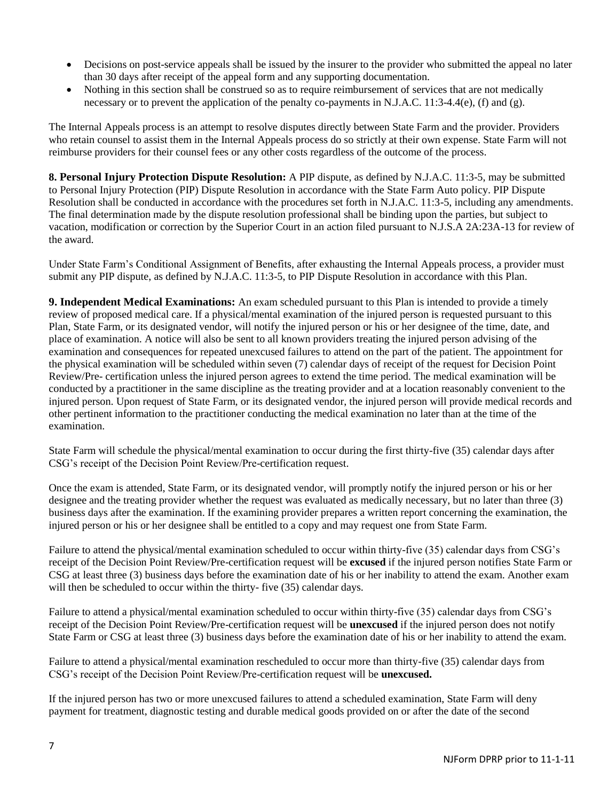- Decisions on post-service appeals shall be issued by the insurer to the provider who submitted the appeal no later than 30 days after receipt of the appeal form and any supporting documentation.
- Nothing in this section shall be construed so as to require reimbursement of services that are not medically necessary or to prevent the application of the penalty co-payments in N.J.A.C. 11:3-4.4(e), (f) and (g).

The Internal Appeals process is an attempt to resolve disputes directly between State Farm and the provider. Providers who retain counsel to assist them in the Internal Appeals process do so strictly at their own expense. State Farm will not reimburse providers for their counsel fees or any other costs regardless of the outcome of the process.

**8. Personal Injury Protection Dispute Resolution:** A PIP dispute, as defined by N.J.A.C. 11:3-5, may be submitted to Personal Injury Protection (PIP) Dispute Resolution in accordance with the State Farm Auto policy. PIP Dispute Resolution shall be conducted in accordance with the procedures set forth in N.J.A.C. 11:3-5, including any amendments. The final determination made by the dispute resolution professional shall be binding upon the parties, but subject to vacation, modification or correction by the Superior Court in an action filed pursuant to N.J.S.A 2A:23A-13 for review of the award.

Under State Farm's Conditional Assignment of Benefits, after exhausting the Internal Appeals process, a provider must submit any PIP dispute, as defined by N.J.A.C. 11:3-5, to PIP Dispute Resolution in accordance with this Plan.

**9. Independent Medical Examinations:** An exam scheduled pursuant to this Plan is intended to provide a timely review of proposed medical care. If a physical/mental examination of the injured person is requested pursuant to this Plan, State Farm, or its designated vendor, will notify the injured person or his or her designee of the time, date, and place of examination. A notice will also be sent to all known providers treating the injured person advising of the examination and consequences for repeated unexcused failures to attend on the part of the patient. The appointment for the physical examination will be scheduled within seven (7) calendar days of receipt of the request for Decision Point Review/Pre- certification unless the injured person agrees to extend the time period. The medical examination will be conducted by a practitioner in the same discipline as the treating provider and at a location reasonably convenient to the injured person. Upon request of State Farm, or its designated vendor, the injured person will provide medical records and other pertinent information to the practitioner conducting the medical examination no later than at the time of the examination.

State Farm will schedule the physical/mental examination to occur during the first thirty-five (35) calendar days after CSG's receipt of the Decision Point Review/Pre-certification request.

Once the exam is attended, State Farm, or its designated vendor, will promptly notify the injured person or his or her designee and the treating provider whether the request was evaluated as medically necessary, but no later than three (3) business days after the examination. If the examining provider prepares a written report concerning the examination, the injured person or his or her designee shall be entitled to a copy and may request one from State Farm.

Failure to attend the physical/mental examination scheduled to occur within thirty-five (35) calendar days from CSG's receipt of the Decision Point Review/Pre-certification request will be **excused** if the injured person notifies State Farm or CSG at least three (3) business days before the examination date of his or her inability to attend the exam. Another exam will then be scheduled to occur within the thirty- five  $(35)$  calendar days.

Failure to attend a physical/mental examination scheduled to occur within thirty-five (35) calendar days from CSG's receipt of the Decision Point Review/Pre-certification request will be **unexcused** if the injured person does not notify State Farm or CSG at least three (3) business days before the examination date of his or her inability to attend the exam.

Failure to attend a physical/mental examination rescheduled to occur more than thirty-five (35) calendar days from CSG's receipt of the Decision Point Review/Pre-certification request will be **unexcused.**

If the injured person has two or more unexcused failures to attend a scheduled examination, State Farm will deny payment for treatment, diagnostic testing and durable medical goods provided on or after the date of the second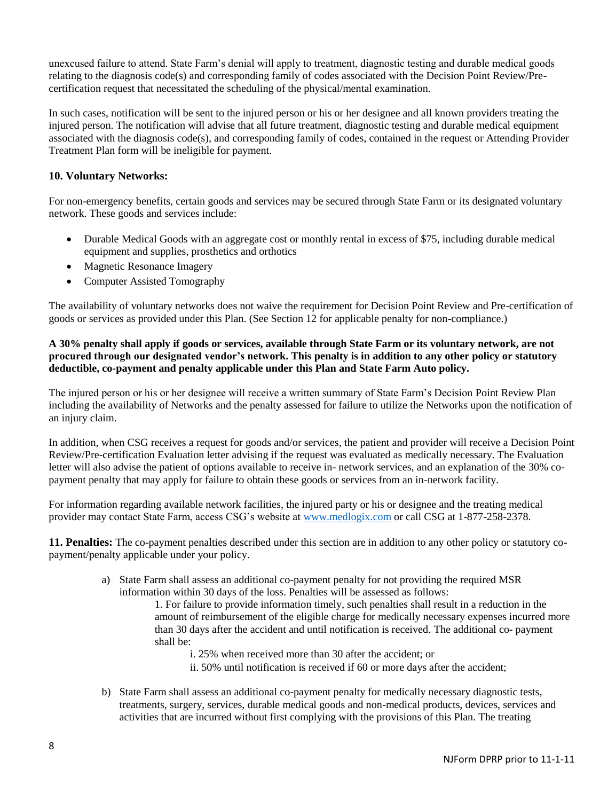unexcused failure to attend. State Farm's denial will apply to treatment, diagnostic testing and durable medical goods relating to the diagnosis code(s) and corresponding family of codes associated with the Decision Point Review/Precertification request that necessitated the scheduling of the physical/mental examination.

In such cases, notification will be sent to the injured person or his or her designee and all known providers treating the injured person. The notification will advise that all future treatment, diagnostic testing and durable medical equipment associated with the diagnosis code(s), and corresponding family of codes, contained in the request or Attending Provider Treatment Plan form will be ineligible for payment.

# **10. Voluntary Networks:**

For non-emergency benefits, certain goods and services may be secured through State Farm or its designated voluntary network. These goods and services include:

- Durable Medical Goods with an aggregate cost or monthly rental in excess of \$75, including durable medical equipment and supplies, prosthetics and orthotics
- Magnetic Resonance Imagery
- Computer Assisted Tomography

The availability of voluntary networks does not waive the requirement for Decision Point Review and Pre-certification of goods or services as provided under this Plan. (See Section 12 for applicable penalty for non-compliance.)

# **A 30% penalty shall apply if goods or services, available through State Farm or its voluntary network, are not procured through our designated vendor's network. This penalty is in addition to any other policy or statutory deductible, co-payment and penalty applicable under this Plan and State Farm Auto policy.**

The injured person or his or her designee will receive a written summary of State Farm's Decision Point Review Plan including the availability of Networks and the penalty assessed for failure to utilize the Networks upon the notification of an injury claim.

In addition, when CSG receives a request for goods and/or services, the patient and provider will receive a Decision Point Review/Pre-certification Evaluation letter advising if the request was evaluated as medically necessary. The Evaluation letter will also advise the patient of options available to receive in- network services, and an explanation of the 30% copayment penalty that may apply for failure to obtain these goods or services from an in-network facility.

For information regarding available network facilities, the injured party or his or designee and the treating medical provider may contact State Farm, access CSG's website at [www.medlogix.com](http://www.medlogix.com/) or call CSG at 1-877-258-2378.

**11. Penalties:** The co-payment penalties described under this section are in addition to any other policy or statutory copayment/penalty applicable under your policy.

> a) State Farm shall assess an additional co-payment penalty for not providing the required MSR information within 30 days of the loss. Penalties will be assessed as follows:

1. For failure to provide information timely, such penalties shall result in a reduction in the amount of reimbursement of the eligible charge for medically necessary expenses incurred more than 30 days after the accident and until notification is received. The additional co- payment shall be:

- i. 25% when received more than 30 after the accident; or
- ii. 50% until notification is received if 60 or more days after the accident;
- b) State Farm shall assess an additional co-payment penalty for medically necessary diagnostic tests, treatments, surgery, services, durable medical goods and non-medical products, devices, services and activities that are incurred without first complying with the provisions of this Plan. The treating